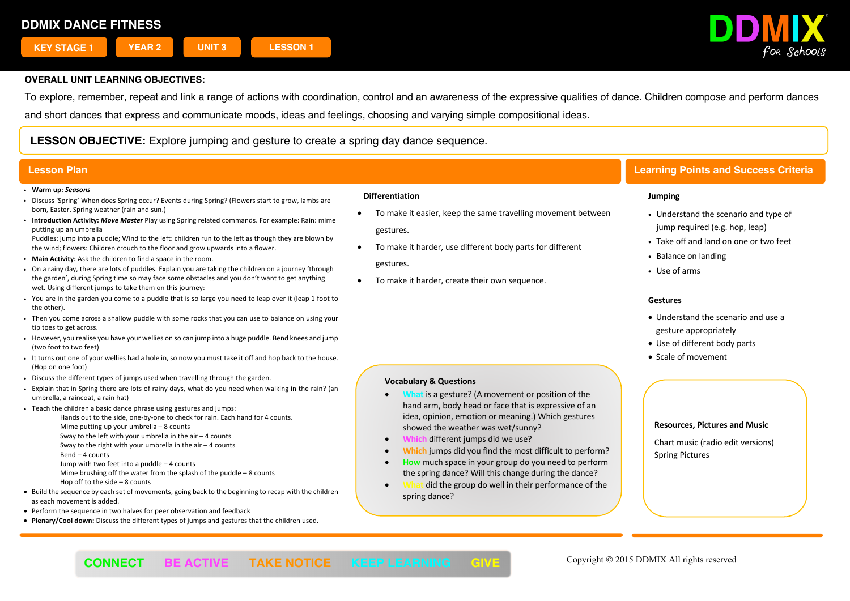

To explore, remember, repeat and link a range of actions with coordination, control and an awareness of the expressive qualities of dance. Children compose and perform dances

and short dances that express and communicate moods, ideas and feelings, choosing and varying simple compositional ideas.

**LESSON OBJECTIVE:** Explore jumping and gesture to create a spring day dance sequence.

#### ! **Warm up:** *Seasons*

- ! Discuss 'Spring' When does Spring occur? Events during Spring? (Flowers start to grow, lambs are born, Easter. Spring weather (rain and sun.)
- ! **Introduction Activity:** *Move Master* Play using Spring related commands. For example: Rain: mime putting up an umbrella

Puddles: jump into a puddle; Wind to the left: children run to the left as though they are blown by the wind; flowers: Children crouch to the floor and grow upwards into a flower.

- ! **Main Activity:** Ask the children to find a space in the room.
- . On a rainy day, there are lots of puddles. Explain you are taking the children on a journey 'through the garden', during Spring time so may face some obstacles and you don't want to get anything wet. Using different jumps to take them on this journey:
- ! You are in the garden you come to a puddle that is so large you need to leap over it (leap 1 foot to the other).
- . Then you come across a shallow puddle with some rocks that you can use to balance on using your tip toes to get across.
- ! However, you realise you have your wellies on so can jump into a huge puddle. Bend knees and jump (two foot to two feet)
- . It turns out one of your wellies had a hole in, so now you must take it off and hop back to the house. (Hop on one foot)
- . Discuss the different types of jumps used when travelling through the garden.
- ! Explain that in Spring there are lots of rainy days, what do you need when walking in the rain? (an umbrella, a raincoat, a rain hat)
- . Teach the children a basic dance phrase using gestures and jumps:
	- Hands out to the side, one-by-one to check for rain. Each hand for 4 counts. Mime putting up your umbrella – 8 counts
	- Sway to the left with your umbrella in the air 4 counts Sway to the right with your umbrella in the air  $-4$  counts
	- Bend 4 counts
	- Jump with two feet into a puddle 4 counts
	- Mime brushing off the water from the splash of the puddle 8 counts
	- Hop off to the side 8 counts
- Build the sequence by each set of movements, going back to the beginning to recap with the children as each movement is added.
- Perform the sequence in two halves for peer observation and feedback
- **Plenary/Cool down:** Discuss the different types of jumps and gestures that the children used.

#### **Differentiation**

- To make it easier, keep the same travelling movement between gestures.
- To make it harder, use different body parts for different gestures.
- To make it harder, create their own sequence.

**Vocabulary & Questions**

# **Lesson Plan Learning Points and Success Criteria**

#### **Jumping**

- Understand the scenario and type of jump required (e.g. hop, leap)
- Take off and land on one or two feet
- Balance on landing
- Use of arms

#### **Gestures**

- Understand the scenario and use a gesture appropriately
- Use of different body parts
- Scale of movement

# • **What** is a gesture? (A movement or position of the

- hand arm, body head or face that is expressive of an idea, opinion, emotion or meaning.) Which gestures showed the weather was wet/sunny?
- **Which** different jumps did we use?
- **Which** jumps did you find the most difficult to perform?
- **How** much space in your group do you need to perform the spring dance? Will this change during the dance?
- **What** did the group do well in their performance of the spring dance?

#### **Resources, Pictures and Music**

Chart music (radio edit versions) Spring Pictures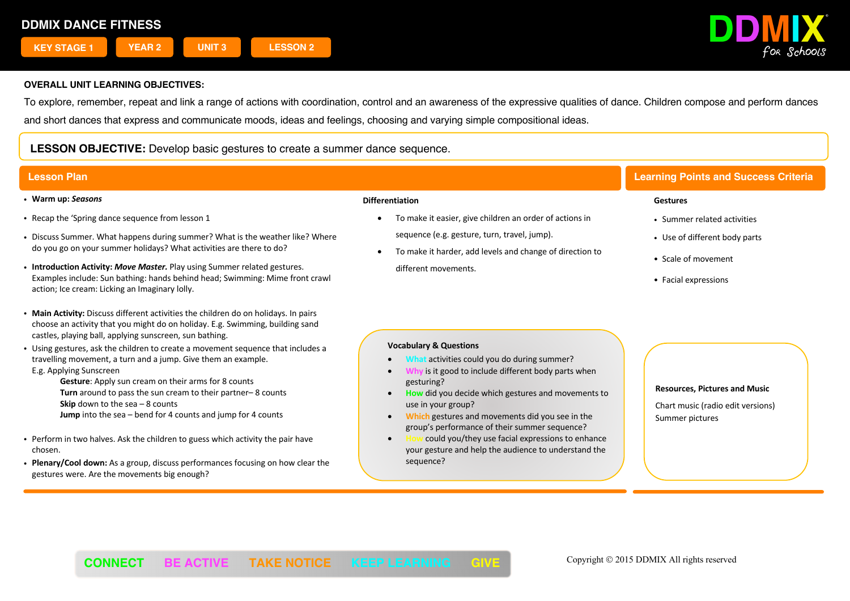

To explore, remember, repeat and link a range of actions with coordination, control and an awareness of the expressive qualities of dance. Children compose and perform dances and short dances that express and communicate moods, ideas and feelings, choosing and varying simple compositional ideas.

# **LESSON OBJECTIVE:** Develop basic gestures to create a summer dance sequence.

- ! **Warm up:** *Seasons*
- . Recap the 'Spring dance sequence from lesson 1
- ! Discuss Summer. What happens during summer? What is the weather like? Where do you go on your summer holidays? What activities are there to do?
- ! **Introduction Activity:** *Move Master.* Play using Summer related gestures. Examples include: Sun bathing: hands behind head; Swimming: Mime front crawl action; Ice cream: Licking an Imaginary lolly.
- **Main Activity:** Discuss different activities the children do on holidays. In pairs choose an activity that you might do on holiday. E.g. Swimming, building sand castles, playing ball, applying sunscreen, sun bathing.
- ! Using gestures, ask the children to create a movement sequence that includes a travelling movement, a turn and a jump. Give them an example. E.g. Applying Sunscreen

**Gesture**: Apply sun cream on their arms for 8 counts **Turn** around to pass the sun cream to their partner– 8 counts **Skip** down to the sea – 8 counts **Jump** into the sea – bend for 4 counts and jump for 4 counts

- . Perform in two halves. Ask the children to guess which activity the pair have chosen.
- ! **Plenary/Cool down:** As a group, discuss performances focusing on how clear the gestures were. Are the movements big enough?

#### **Differentiation**

- To make it easier, give children an order of actions in sequence (e.g. gesture, turn, travel, jump).
- To make it harder, add levels and change of direction to different movements.

# **Lesson Plan Learning Points and Success Criteria**

#### **Gestures**

- Summer related activities
- Use of different body parts
- ! Scale of movement
- Facial expressions

### **Vocabulary & Questions**

- **What** activities could you do during summer?
- **is it good to include different body parts when** gesturing?
- **How** did you decide which gestures and movements to use in your group?
- **Which** gestures and movements did you see in the group's performance of their summer sequence?
- **How** could you/they use facial expressions to enhance your gesture and help the audience to understand the sequence?

**Resources, Pictures and Music** Chart music (radio edit versions)

Summer pictures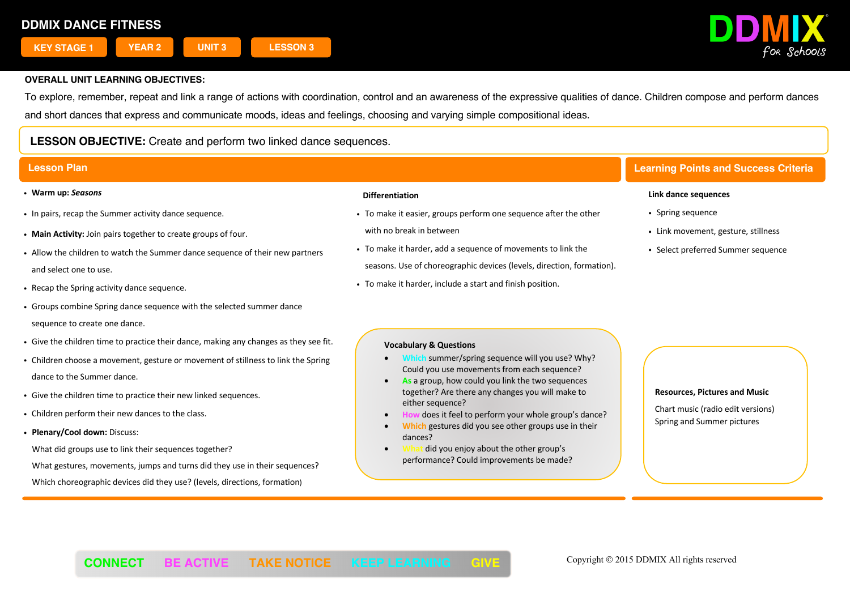

To explore, remember, repeat and link a range of actions with coordination, control and an awareness of the expressive qualities of dance. Children compose and perform dances and short dances that express and communicate moods, ideas and feelings, choosing and varying simple compositional ideas.

# **LESSON OBJECTIVE:** Create and perform two linked dance sequences.

- ! **Warm up:** *Seasons*
- . In pairs, recap the Summer activity dance sequence.
- ! **Main Activity:** Join pairs together to create groups of four.
- ! Allow the children to watch the Summer dance sequence of their new partners and select one to use.
- . Recap the Spring activity dance sequence.
- ! Groups combine Spring dance sequence with the selected summer dance sequence to create one dance.
- ! Give the children time to practice their dance, making any changes as they see fit.
- ! Children choose a movement, gesture or movement of stillness to link the Spring dance to the Summer dance.
- Give the children time to practice their new linked sequences.
- . Children perform their new dances to the class.
- ! **Plenary/Cool down:** Discuss:

What did groups use to link their sequences together?

What gestures, movements, jumps and turns did they use in their sequences? Which choreographic devices did they use? (levels, directions, formation)

## **Differentiation**

- ! To make it easier, groups perform one sequence after the other with no break in between
- ! To make it harder, add a sequence of movements to link the seasons. Use of choreographic devices (levels, direction, formation).
- ! To make it harder, include a start and finish position.

# **Lesson Plan Learning Points and Success Criteria**

#### **Link dance sequences**

- Spring sequence
- Link movement, gesture, stillness
- Select preferred Summer sequence

#### **Vocabulary & Questions**

- **Which** summer/spring sequence will you use? Why? Could you use movements from each sequence?
- As a group, how could you link the two sequences together? Are there any changes you will make to either sequence?
- does it feel to perform your whole group's dance?
- **Which** gestures did you see other groups use in their dances?
- did you enjoy about the other group's performance? Could improvements be made?

#### **Resources, Pictures and Music**

Chart music (radio edit versions) Spring and Summer pictures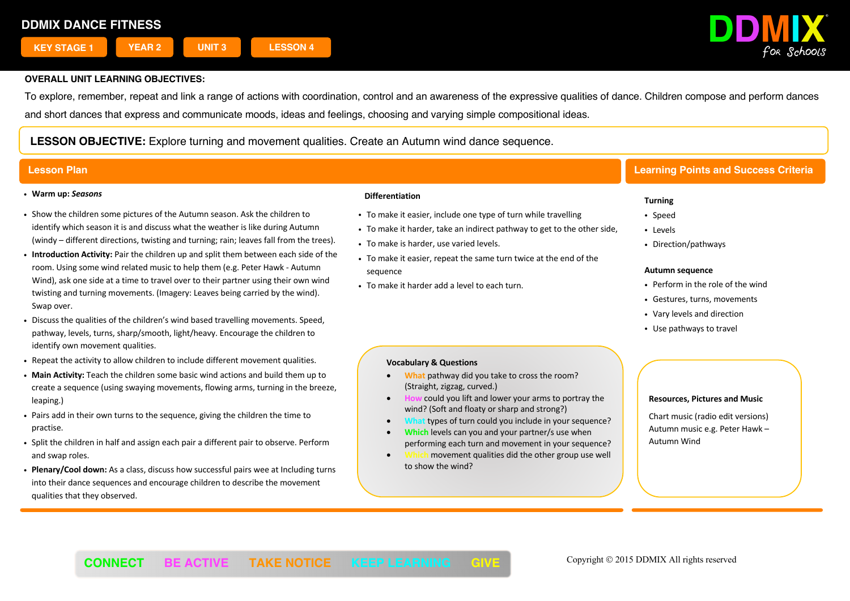

To explore, remember, repeat and link a range of actions with coordination, control and an awareness of the expressive qualities of dance. Children compose and perform dances and short dances that express and communicate moods, ideas and feelings, choosing and varying simple compositional ideas.

**LESSON OBJECTIVE:** Explore turning and movement qualities. Create an Autumn wind dance sequence.

#### ! **Warm up:** *Seasons*

- ! Show the children some pictures of the Autumn season. Ask the children to identify which season it is and discuss what the weather is like during Autumn (windy – different directions, twisting and turning; rain; leaves fall from the trees).
- ! **Introduction Activity:** Pair the children up and split them between each side of the room. Using some wind related music to help them (e.g. Peter Hawk - Autumn Wind), ask one side at a time to travel over to their partner using their own wind twisting and turning movements. (Imagery: Leaves being carried by the wind). Swap over.
- ! Discuss the qualities of the children's wind based travelling movements. Speed, pathway, levels, turns, sharp/smooth, light/heavy. Encourage the children to identify own movement qualities.
- . Repeat the activity to allow children to include different movement qualities.
- ! **Main Activity:** Teach the children some basic wind actions and build them up to create a sequence (using swaying movements, flowing arms, turning in the breeze, leaping.)
- . Pairs add in their own turns to the sequence, giving the children the time to practise.
- ! Split the children in half and assign each pair a different pair to observe. Perform and swap roles.
- ! **Plenary/Cool down:** As a class, discuss how successful pairs wee at Including turns into their dance sequences and encourage children to describe the movement qualities that they observed.

### **Differentiation**

- . To make it easier, include one type of turn while travelling
- . To make it harder, take an indirect pathway to get to the other side,
- To make is harder, use varied levels.
- ! To make it easier, repeat the same turn twice at the end of the sequence
- To make it harder add a level to each turn.

# **Lesson Plan Learning Points and Success Criteria**

### **Turning**

- Speed
- Levels
- Direction/pathways

#### **Autumn sequence**

- Perform in the role of the wind
- Gestures, turns, movements
- Vary levels and direction
- Use pathways to travel

### **Vocabulary & Questions**

- **What** pathway did you take to cross the room? (Straight, zigzag, curved.)
- **How** could you lift and lower your arms to portray the wind? (Soft and floaty or sharp and strong?)
- **What** types of turn could you include in your sequence?
- **Which** levels can you and your partner/s use when performing each turn and movement in your sequence?
- **Which** movement qualities did the other group use well to show the wind?

#### **Resources, Pictures and Music**

Chart music (radio edit versions) Autumn music e.g. Peter Hawk – Autumn Wind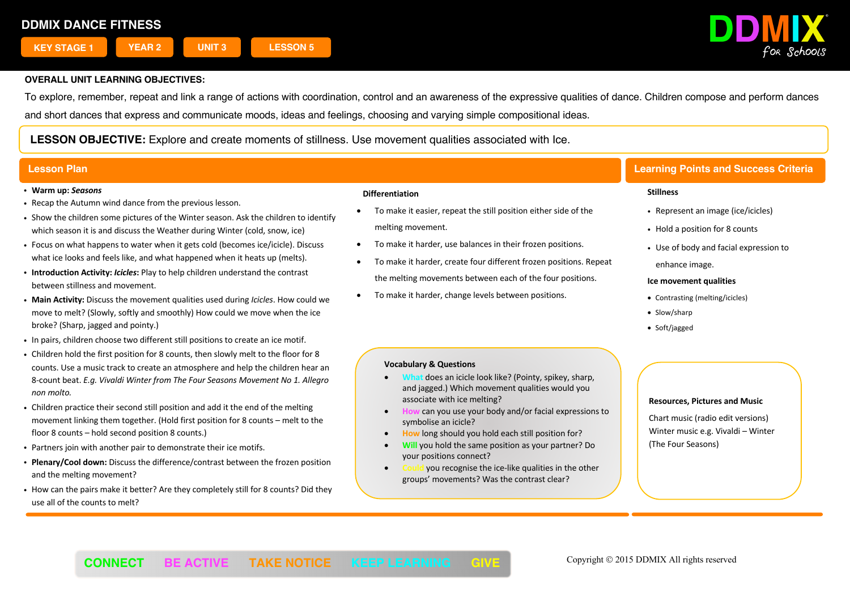

To explore, remember, repeat and link a range of actions with coordination, control and an awareness of the expressive qualities of dance. Children compose and perform dances and short dances that express and communicate moods, ideas and feelings, choosing and varying simple compositional ideas.

**LESSON OBJECTIVE:** Explore and create moments of stillness. Use movement qualities associated with Ice.

#### ! **Warm up:** *Seasons*

- . Recap the Autumn wind dance from the previous lesson.
- ! Show the children some pictures of the Winter season. Ask the children to identify which season it is and discuss the Weather during Winter (cold, snow, ice)
- ! Focus on what happens to water when it gets cold (becomes ice/icicle). Discuss what ice looks and feels like, and what happened when it heats up (melts).
- ! **Introduction Activity:** *Icicles***:** Play to help children understand the contrast between stillness and movement.
- ! **Main Activity:** Discuss the movement qualities used during *Icicles*. How could we move to melt? (Slowly, softly and smoothly) How could we move when the ice broke? (Sharp, jagged and pointy.)
- ! In pairs, children choose two different still positions to create an ice motif.
- ! Children hold the first position for 8 counts, then slowly melt to the floor for 8 counts. Use a music track to create an atmosphere and help the children hear an 8-count beat. *E.g. Vivaldi Winter from The Four Seasons Movement No 1. Allegro non molto.*
- ! Children practice their second still position and add it the end of the melting movement linking them together. (Hold first position for 8 counts – melt to the floor 8 counts – hold second position 8 counts.)
- . Partners join with another pair to demonstrate their ice motifs.
- ! **Plenary/Cool down:** Discuss the difference/contrast between the frozen position and the melting movement?
- ! How can the pairs make it better? Are they completely still for 8 counts? Did they use all of the counts to melt?

### **Differentiation**

- To make it easier, repeat the still position either side of the melting movement.
- To make it harder, use balances in their frozen positions.
- To make it harder, create four different frozen positions. Repeat the melting movements between each of the four positions.
- To make it harder, change levels between positions.

#### **Vocabulary & Questions**

- **does an icicle look like? (Pointy, spikey, sharp,** and jagged.) Which movement qualities would you associate with ice melting?
- **How** can you use your body and/or facial expressions to symbolise an icicle?
- **How** long should you hold each still position for?
- **Will** you hold the same position as your partner? Do your positions connect?
- **Could** you recognise the ice-like qualities in the other groups' movements? Was the contrast clear?

# **Lesson Plan Learning Points and Success Criteria**

#### **Stillness**

- Represent an image (ice/icicles)
- Hold a position for 8 counts
- . Use of body and facial expression to enhance image.

#### **Ice movement qualities**

- Contrasting (melting/icicles)
- Slow/sharp
- Soft/jagged

#### **Resources, Pictures and Music**

Chart music (radio edit versions) Winter music e.g. Vivaldi – Winter (The Four Seasons)